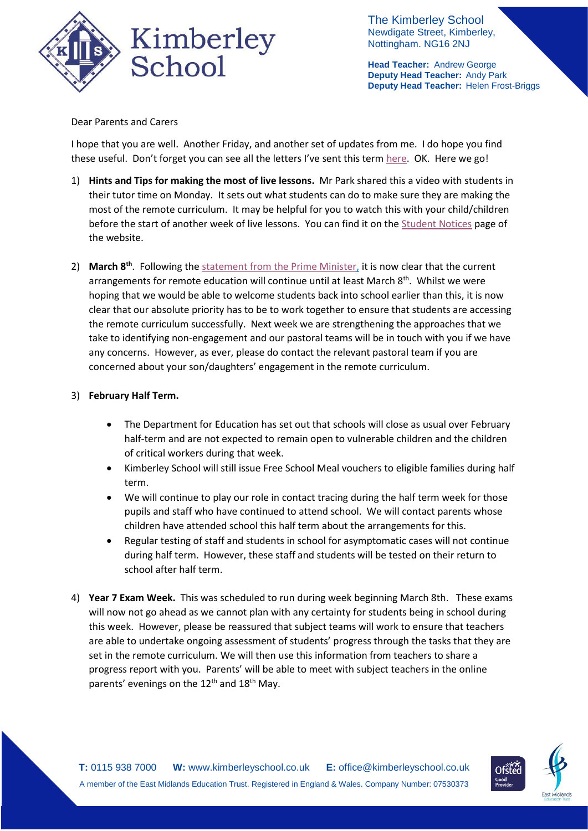

The Kimberley School Newdigate Street, Kimberley, Nottingham. NG16 2NJ

**Head Teacher:** Andrew George **Deputy Head Teacher:** Andy Park **Deputy Head Teacher:** Helen Frost-Briggs

Dear Parents and Carers

I hope that you are well. Another Friday, and another set of updates from me. I do hope you find these useful. Don't forget you can see all the letters I've sent this term [here.](https://www.kimberleyschool.co.uk/copy-of-student-notices) OK. Here we go!

- 1) **Hints and Tips for making the most of live lessons.** Mr Park shared this a video with students in their tutor time on Monday. It sets out what students can do to make sure they are making the most of the remote curriculum. It may be helpful for you to watch this with your child/children before the start of another week of live lessons. You can find it on th[e Student Notices](https://www.kimberleyschool.co.uk/notices) page of the website.
- 2) March 8<sup>th</sup>. Following th[e statement from the Prime Minister,](https://www.gov.uk/government/speeches/prime-ministers-statement-to-the-house-of-commons-on-coronavirus-27-january-2021) it is now clear that the current arrangements for remote education will continue until at least March 8<sup>th</sup>. Whilst we were hoping that we would be able to welcome students back into school earlier than this, it is now clear that our absolute priority has to be to work together to ensure that students are accessing the remote curriculum successfully. Next week we are strengthening the approaches that we take to identifying non-engagement and our pastoral teams will be in touch with you if we have any concerns. However, as ever, please do contact the relevant pastoral team if you are concerned about your son/daughters' engagement in the remote curriculum.

## 3) **February Half Term.**

- The Department for Education has set out that schools will close as usual over February half-term and are not expected to remain open to vulnerable children and the children of critical workers during that week.
- Kimberley School will still issue Free School Meal vouchers to eligible families during half term.
- We will continue to play our role in contact tracing during the half term week for those pupils and staff who have continued to attend school. We will contact parents whose children have attended school this half term about the arrangements for this.
- Regular testing of staff and students in school for asymptomatic cases will not continue during half term. However, these staff and students will be tested on their return to school after half term.
- 4) **Year 7 Exam Week.** This was scheduled to run during week beginning March 8th. These exams will now not go ahead as we cannot plan with any certainty for students being in school during this week. However, please be reassured that subject teams will work to ensure that teachers are able to undertake ongoing assessment of students' progress through the tasks that they are set in the remote curriculum. We will then use this information from teachers to share a progress report with you. Parents' will be able to meet with subject teachers in the online parents' evenings on the  $12<sup>th</sup>$  and  $18<sup>th</sup>$  May.